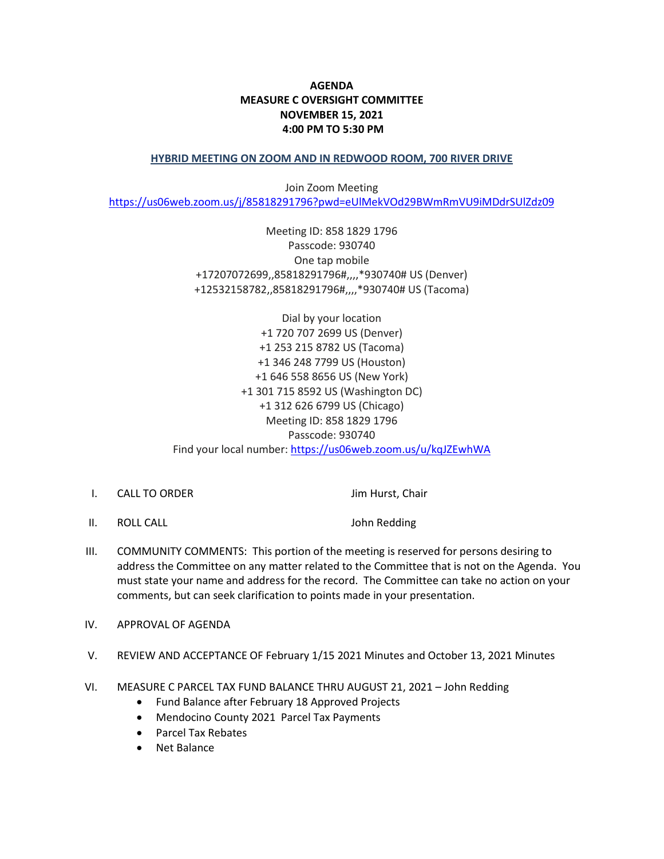## **AGENDA MEASURE C OVERSIGHT COMMITTEE NOVEMBER 15, 2021 4:00 PM TO 5:30 PM**

## **HYBRID MEETING ON ZOOM AND IN REDWOOD ROOM, 700 RIVER DRIVE**

Join Zoom Meeting <https://us06web.zoom.us/j/85818291796?pwd=eUlMekVOd29BWmRmVU9iMDdrSUlZdz09>

> Meeting ID: 858 1829 1796 Passcode: 930740 One tap mobile +17207072699,,85818291796#,,,,\*930740# US (Denver) +12532158782,,85818291796#,,,,\*930740# US (Tacoma)

Dial by your location +1 720 707 2699 US (Denver) +1 253 215 8782 US (Tacoma) +1 346 248 7799 US (Houston) +1 646 558 8656 US (New York) +1 301 715 8592 US (Washington DC) +1 312 626 6799 US (Chicago) Meeting ID: 858 1829 1796 Passcode: 930740 Find your local number: <https://us06web.zoom.us/u/kqJZEwhWA>

I. CALL TO ORDER Jim Hurst, Chair

II. ROLL CALL **In the CALL CALL CALL John Redding** 

- III. COMMUNITY COMMENTS: This portion of the meeting is reserved for persons desiring to address the Committee on any matter related to the Committee that is not on the Agenda. You must state your name and address for the record. The Committee can take no action on your comments, but can seek clarification to points made in your presentation.
- IV. APPROVAL OF AGENDA
- V. REVIEW AND ACCEPTANCE OF February 1/15 2021 Minutes and October 13, 2021 Minutes
- VI. MEASURE C PARCEL TAX FUND BALANCE THRU AUGUST 21, 2021 John Redding
	- Fund Balance after February 18 Approved Projects
	- Mendocino County 2021 Parcel Tax Payments
	- Parcel Tax Rebates
	- Net Balance